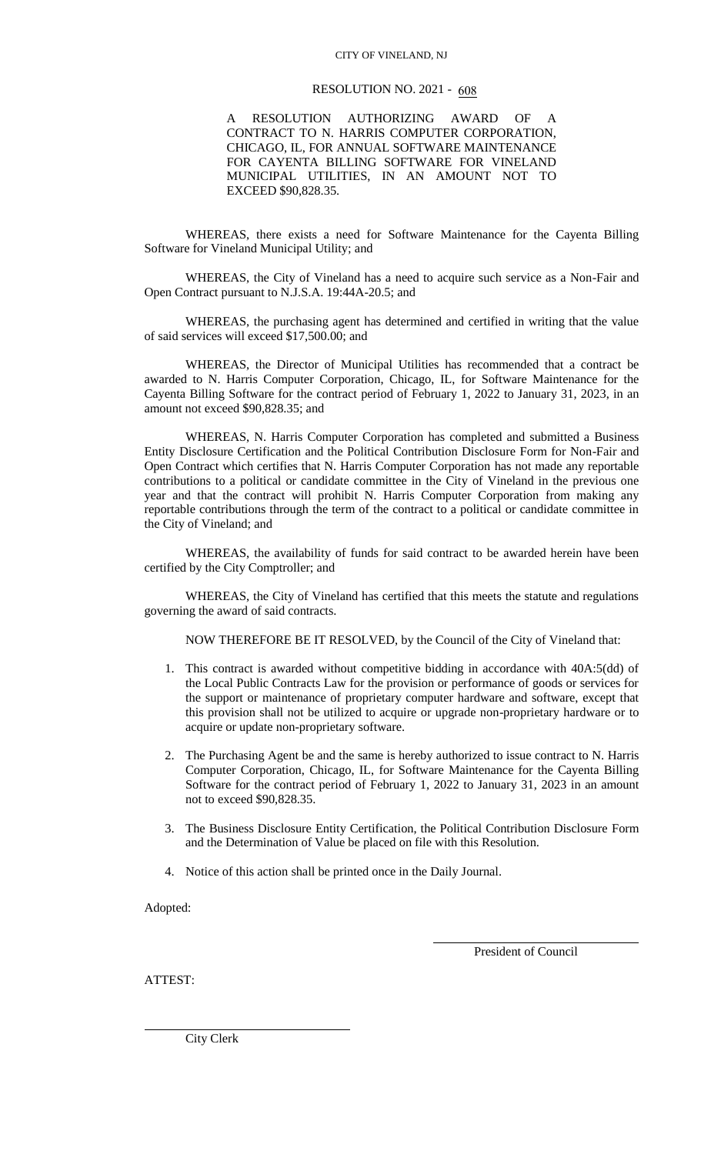## CITY OF VINELAND, NJ

## RESOLUTION NO. 2021 - 608

A RESOLUTION AUTHORIZING AWARD OF CONTRACT TO N. HARRIS COMPUTER CORPORATION, CHICAGO, IL, FOR ANNUAL SOFTWARE MAINTENANCE FOR CAYENTA BILLING SOFTWARE FOR VINELAND MUNICIPAL UTILITIES, IN AN AMOUNT NOT TO EXCEED \$90,828.35.

WHEREAS, there exists a need for Software Maintenance for the Cayenta Billing Software for Vineland Municipal Utility; and

WHEREAS, the City of Vineland has a need to acquire such service as a Non-Fair and Open Contract pursuant to N.J.S.A. 19:44A-20.5; and

WHEREAS, the purchasing agent has determined and certified in writing that the value of said services will exceed \$17,500.00; and

WHEREAS, the Director of Municipal Utilities has recommended that a contract be awarded to N. Harris Computer Corporation, Chicago, IL, for Software Maintenance for the Cayenta Billing Software for the contract period of February 1, 2022 to January 31, 2023, in an amount not exceed \$90,828.35; and

WHEREAS, N. Harris Computer Corporation has completed and submitted a Business Entity Disclosure Certification and the Political Contribution Disclosure Form for Non-Fair and Open Contract which certifies that N. Harris Computer Corporation has not made any reportable contributions to a political or candidate committee in the City of Vineland in the previous one year and that the contract will prohibit N. Harris Computer Corporation from making any reportable contributions through the term of the contract to a political or candidate committee in the City of Vineland; and

WHEREAS, the availability of funds for said contract to be awarded herein have been certified by the City Comptroller; and

WHEREAS, the City of Vineland has certified that this meets the statute and regulations governing the award of said contracts.

NOW THEREFORE BE IT RESOLVED, by the Council of the City of Vineland that:

- 1. This contract is awarded without competitive bidding in accordance with 40A:5(dd) of the Local Public Contracts Law for the provision or performance of goods or services for the support or maintenance of proprietary computer hardware and software, except that this provision shall not be utilized to acquire or upgrade non-proprietary hardware or to acquire or update non-proprietary software.
- 2. The Purchasing Agent be and the same is hereby authorized to issue contract to N. Harris Computer Corporation, Chicago, IL, for Software Maintenance for the Cayenta Billing Software for the contract period of February 1, 2022 to January 31, 2023 in an amount not to exceed \$90,828.35.
- 3. The Business Disclosure Entity Certification, the Political Contribution Disclosure Form and the Determination of Value be placed on file with this Resolution.
- 4. Notice of this action shall be printed once in the Daily Journal.

Adopted:

President of Council

ATTEST:

City Clerk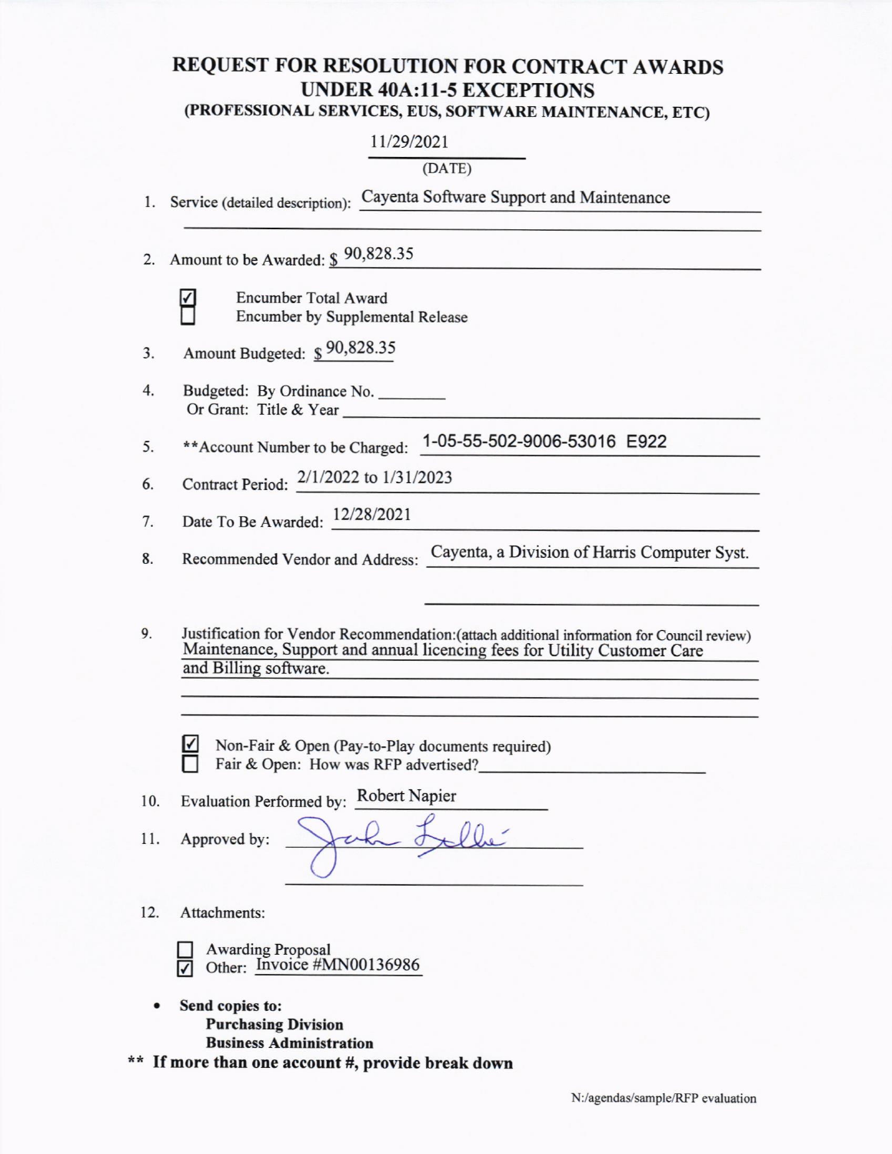## REQUEST FOR RESOLUTION FOR CONTRACT AWARDS UNDER 40A:11-5 EXCEPTIONS

## (PROFESSIONAL SERVICES, EUS, SOFTWARE MAINTENANCE, ETC)

11/29/2021

(DATE)

|  |  | Service (detailed description): Cayenta Software Support and Maintenance |
|--|--|--------------------------------------------------------------------------|
|--|--|--------------------------------------------------------------------------|

2. Amount to be Awarded: \$90,828.35

|    | ٠<br>۰ |
|----|--------|
| J. | W      |

Encumber Total Award Encumber by Supplemental Release

| 3. | Amount Budgeted: \$90,828.35 |  |
|----|------------------------------|--|
|----|------------------------------|--|

4 Budgeted: By Ordinance No Or Grant: Title & Year

\*\*Account Number to be Charged: 1-05-55-502-9006-53016 E922 5

Contract Period:  $\frac{2}{1/2022}$  to  $\frac{1}{31/2023}$ 6

Date To Be Awarded: 12/28/2021 7

Recommended Vendor and Address: Cayenta, a Division of Harris Computer Syst. 8

9. Justification for Vendor Recommendation: (attach additional information for Council review) Maintenance, Support and annual licencing fees for Utility Customer Care<br>and Billing software.

Non-Fair & Open (Pay-to-Play documents required) Fair & Open: How was RFP advertised?

10. Evaluation Performed by: Robert Napier

ll. Approved by:

12. Attachments:

| $\Box$ | <b>Awarding Proposal</b> |                                            |  |  |  |  |
|--------|--------------------------|--------------------------------------------|--|--|--|--|
|        |                          | $\triangledown$ Other: Invoice #MN00136986 |  |  |  |  |

- Send copies to: Purchasing Division
- Business Administration<br>\*\* If more than one account #, provide break down